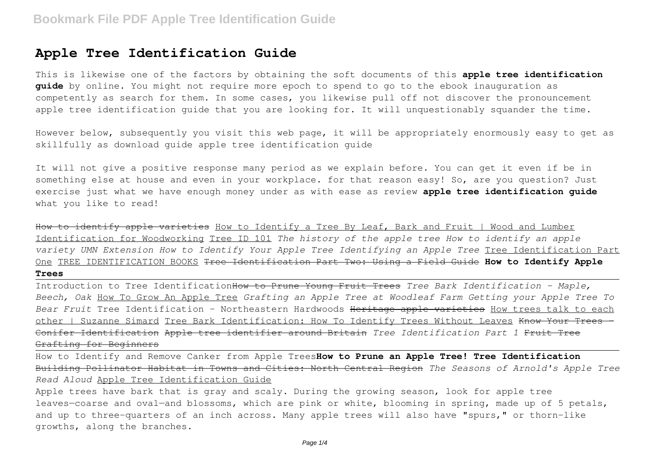## **Apple Tree Identification Guide**

This is likewise one of the factors by obtaining the soft documents of this **apple tree identification guide** by online. You might not require more epoch to spend to go to the ebook inauguration as competently as search for them. In some cases, you likewise pull off not discover the pronouncement apple tree identification guide that you are looking for. It will unquestionably squander the time.

However below, subsequently you visit this web page, it will be appropriately enormously easy to get as skillfully as download guide apple tree identification guide

It will not give a positive response many period as we explain before. You can get it even if be in something else at house and even in your workplace. for that reason easy! So, are you question? Just exercise just what we have enough money under as with ease as review **apple tree identification guide** what you like to read!

How to identify apple varieties How to Identify a Tree By Leaf, Bark and Fruit | Wood and Lumber Identification for Woodworking Tree ID 101 *The history of the apple tree How to identify an apple variety UMN Extension How to Identify Your Apple Tree Identifying an Apple Tree* Tree Identification Part One TREE IDENTIFICATION BOOKS Tree Identification Part Two: Using a Field Guide **How to Identify Apple Trees**

Introduction to Tree IdentificationHow to Prune Young Fruit Trees *Tree Bark Identification - Maple, Beech, Oak* How To Grow An Apple Tree *Grafting an Apple Tree at Woodleaf Farm Getting your Apple Tree To Bear Fruit* Tree Identification - Northeastern Hardwoods Heritage apple varieties How trees talk to each other | Suzanne Simard Tree Bark Identification: How To Identify Trees Without Leaves Know Your Trees - Conifer Identification Apple tree identifier around Britain *Tree Identification Part 1* Fruit Tree Grafting for Beginners

How to Identify and Remove Canker from Apple Trees**How to Prune an Apple Tree! Tree Identification** Building Pollinator Habitat in Towns and Cities: North Central Region *The Seasons of Arnold's Apple Tree Read Aloud* Apple Tree Identification Guide

Apple trees have bark that is gray and scaly. During the growing season, look for apple tree leaves—coarse and oval—and blossoms, which are pink or white, blooming in spring, made up of 5 petals, and up to three-quarters of an inch across. Many apple trees will also have "spurs," or thorn-like growths, along the branches.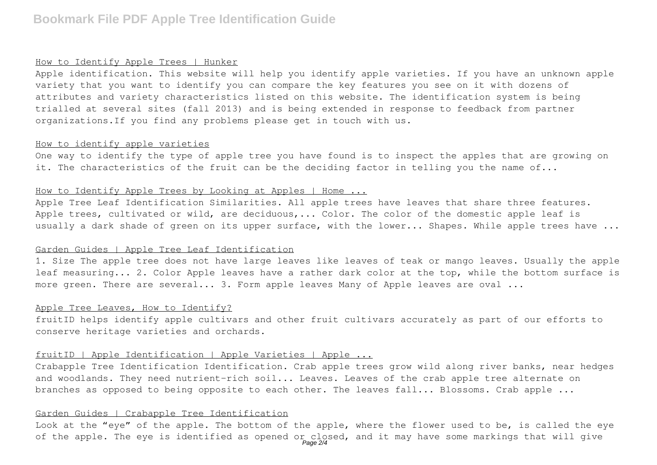## **Bookmark File PDF Apple Tree Identification Guide**

#### How to Identify Apple Trees | Hunker

Apple identification. This website will help you identify apple varieties. If you have an unknown apple variety that you want to identify you can compare the key features you see on it with dozens of attributes and variety characteristics listed on this website. The identification system is being trialled at several sites (fall 2013) and is being extended in response to feedback from partner organizations.If you find any problems please get in touch with us.

#### How to identify apple varieties

One way to identify the type of apple tree you have found is to inspect the apples that are growing on it. The characteristics of the fruit can be the deciding factor in telling you the name of...

#### How to Identify Apple Trees by Looking at Apples | Home ...

Apple Tree Leaf Identification Similarities. All apple trees have leaves that share three features. Apple trees, cultivated or wild, are deciduous, ... Color. The color of the domestic apple leaf is usually a dark shade of green on its upper surface, with the lower... Shapes. While apple trees have ...

#### Garden Guides | Apple Tree Leaf Identification

1. Size The apple tree does not have large leaves like leaves of teak or mango leaves. Usually the apple leaf measuring... 2. Color Apple leaves have a rather dark color at the top, while the bottom surface is more green. There are several... 3. Form apple leaves Many of Apple leaves are oval ...

#### Apple Tree Leaves, How to Identify?

fruitID helps identify apple cultivars and other fruit cultivars accurately as part of our efforts to conserve heritage varieties and orchards.

#### fruitID | Apple Identification | Apple Varieties | Apple ...

Crabapple Tree Identification Identification. Crab apple trees grow wild along river banks, near hedges and woodlands. They need nutrient-rich soil... Leaves. Leaves of the crab apple tree alternate on branches as opposed to being opposite to each other. The leaves fall... Blossoms. Crab apple ...

## Garden Guides | Crabapple Tree Identification

Look at the "eye" of the apple. The bottom of the apple, where the flower used to be, is called the eye of the apple. The eye is identified as opened or closed, and it may have some markings that will give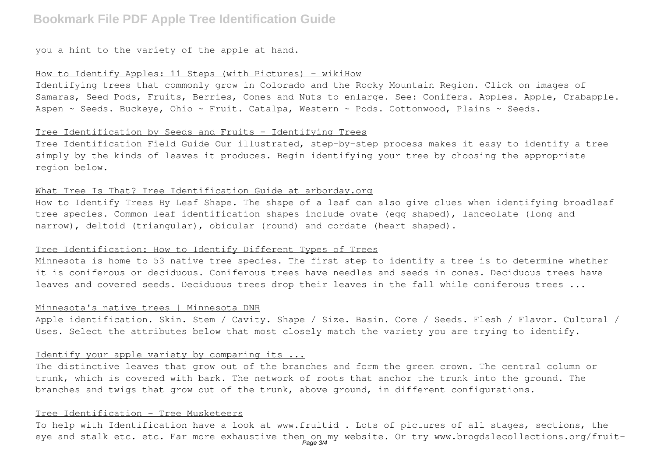## **Bookmark File PDF Apple Tree Identification Guide**

you a hint to the variety of the apple at hand.

#### How to Identify Apples: 11 Steps (with Pictures) - wikiHow

Identifying trees that commonly grow in Colorado and the Rocky Mountain Region. Click on images of Samaras, Seed Pods, Fruits, Berries, Cones and Nuts to enlarge. See: Conifers. Apples. Apple, Crabapple. Aspen ~ Seeds. Buckeye, Ohio ~ Fruit. Catalpa, Western ~ Pods. Cottonwood, Plains ~ Seeds.

#### Tree Identification by Seeds and Fruits - Identifying Trees

Tree Identification Field Guide Our illustrated, step-by-step process makes it easy to identify a tree simply by the kinds of leaves it produces. Begin identifying your tree by choosing the appropriate region below.

#### What Tree Is That? Tree Identification Guide at arborday.org

How to Identify Trees By Leaf Shape. The shape of a leaf can also give clues when identifying broadleaf tree species. Common leaf identification shapes include ovate (egg shaped), lanceolate (long and narrow), deltoid (triangular), obicular (round) and cordate (heart shaped).

#### Tree Identification: How to Identify Different Types of Trees

Minnesota is home to 53 native tree species. The first step to identify a tree is to determine whether it is coniferous or deciduous. Coniferous trees have needles and seeds in cones. Deciduous trees have leaves and covered seeds. Deciduous trees drop their leaves in the fall while coniferous trees ...

#### Minnesota's native trees | Minnesota DNR

Apple identification. Skin. Stem / Cavity. Shape / Size. Basin. Core / Seeds. Flesh / Flavor. Cultural / Uses. Select the attributes below that most closely match the variety you are trying to identify.

#### Identify your apple variety by comparing its ...

The distinctive leaves that grow out of the branches and form the green crown. The central column or trunk, which is covered with bark. The network of roots that anchor the trunk into the ground. The branches and twigs that grow out of the trunk, above ground, in different configurations.

#### Tree Identification - Tree Musketeers

To help with Identification have a look at www.fruitid . Lots of pictures of all stages, sections, the eye and stalk etc. etc. Far more exhaustive then on my website. Or try www.brogdalecollections.org/fruit-